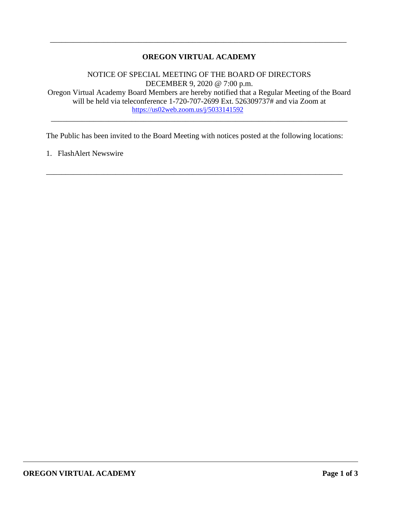# **OREGON VIRTUAL ACADEMY**

\_\_\_\_\_\_\_\_\_\_\_\_\_\_\_\_\_\_\_\_\_\_\_\_\_\_\_\_\_\_\_\_\_\_\_\_\_\_\_\_\_\_\_\_\_\_\_\_\_\_\_\_\_\_\_\_\_\_\_\_\_\_\_\_\_\_\_\_\_\_\_\_\_\_\_\_\_

NOTICE OF SPECIAL MEETING OF THE BOARD OF DIRECTORS DECEMBER 9, 2020 @ 7:00 p.m. Oregon Virtual Academy Board Members are hereby notified that a Regular Meeting of the Board

will be held via teleconference 1-720-707-2699 Ext. 526309737# and via Zoom at <https://us02web.zoom.us/j/5033141592> \_\_\_\_\_\_\_\_\_\_\_\_\_\_\_\_\_\_\_\_\_\_\_\_\_\_\_\_\_\_\_\_\_\_\_\_\_\_\_\_\_\_\_\_\_\_\_\_\_\_\_\_\_\_\_\_\_\_\_\_\_\_\_\_\_\_\_\_\_\_\_\_\_\_\_\_\_

The Public has been invited to the Board Meeting with notices posted at the following locations:

\_\_\_\_\_\_\_\_\_\_\_\_\_\_\_\_\_\_\_\_\_\_\_\_\_\_\_\_\_\_\_\_\_\_\_\_\_\_\_\_\_\_\_\_\_\_\_\_\_\_\_\_\_\_\_\_\_\_\_\_\_\_\_\_\_\_\_\_\_\_\_\_\_\_\_\_\_

1. FlashAlert Newswire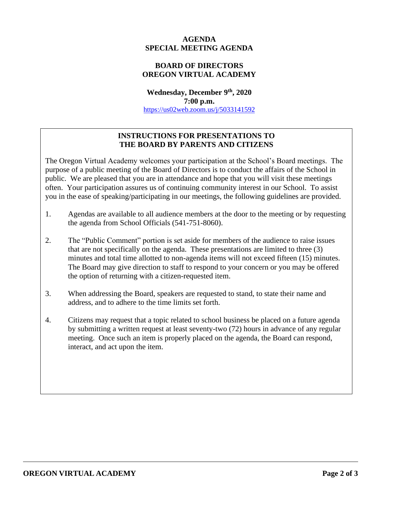## **AGENDA SPECIAL MEETING AGENDA**

# **BOARD OF DIRECTORS OREGON VIRTUAL ACADEMY**

**Wednesday, December 9th, 2020 7:00 p.m.** <https://us02web.zoom.us/j/5033141592>

# **INSTRUCTIONS FOR PRESENTATIONS TO THE BOARD BY PARENTS AND CITIZENS**

The Oregon Virtual Academy welcomes your participation at the School's Board meetings. The purpose of a public meeting of the Board of Directors is to conduct the affairs of the School in public. We are pleased that you are in attendance and hope that you will visit these meetings often. Your participation assures us of continuing community interest in our School. To assist you in the ease of speaking/participating in our meetings, the following guidelines are provided.

- 1. Agendas are available to all audience members at the door to the meeting or by requesting the agenda from School Officials (541-751-8060).
- 2. The "Public Comment" portion is set aside for members of the audience to raise issues that are not specifically on the agenda. These presentations are limited to three (3) minutes and total time allotted to non-agenda items will not exceed fifteen (15) minutes. The Board may give direction to staff to respond to your concern or you may be offered the option of returning with a citizen-requested item.
- 3. When addressing the Board, speakers are requested to stand, to state their name and address, and to adhere to the time limits set forth.
- 4. Citizens may request that a topic related to school business be placed on a future agenda by submitting a written request at least seventy-two (72) hours in advance of any regular meeting. Once such an item is properly placed on the agenda, the Board can respond, interact, and act upon the item.